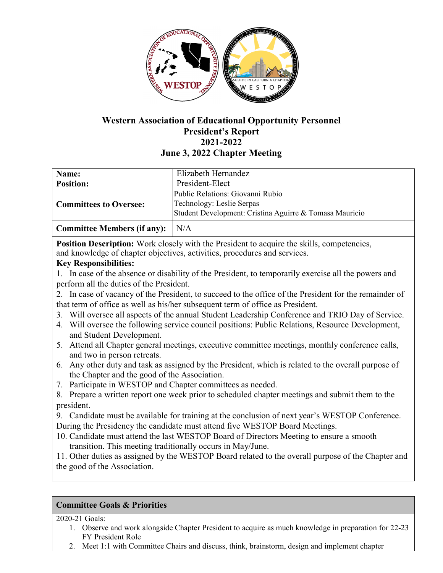

# **Western Association of Educational Opportunity Personnel President's Report 2021-2022 June 3, 2022 Chapter Meeting**

| Name:                              | Elizabeth Hernandez                                                                                                      |
|------------------------------------|--------------------------------------------------------------------------------------------------------------------------|
| <b>Position:</b>                   | President-Elect                                                                                                          |
| <b>Committees to Oversee:</b>      | Public Relations: Giovanni Rubio<br>Technology: Leslie Serpas<br>Student Development: Cristina Aguirre & Tomasa Mauricio |
| <b>Committee Members (if any):</b> | N/A                                                                                                                      |

**Position Description:** Work closely with the President to acquire the skills, competencies, and knowledge of chapter objectives, activities, procedures and services.

## **Key Responsibilities:**

1. In case of the absence or disability of the President, to temporarily exercise all the powers and perform all the duties of the President.

2. In case of vacancy of the President, to succeed to the office of the President for the remainder of that term of office as well as his/her subsequent term of office as President.

- 3. Will oversee all aspects of the annual Student Leadership Conference and TRIO Day of Service.
- 4. Will oversee the following service council positions: Public Relations, Resource Development, and Student Development.
- 5. Attend all Chapter general meetings, executive committee meetings, monthly conference calls, and two in person retreats.
- 6. Any other duty and task as assigned by the President, which is related to the overall purpose of the Chapter and the good of the Association.
- 7. Participate in WESTOP and Chapter committees as needed.
- 8. Prepare a written report one week prior to scheduled chapter meetings and submit them to the president.

9. Candidate must be available for training at the conclusion of next year's WESTOP Conference. During the Presidency the candidate must attend five WESTOP Board Meetings.

10. Candidate must attend the last WESTOP Board of Directors Meeting to ensure a smooth transition. This meeting traditionally occurs in May/June.

11. Other duties as assigned by the WESTOP Board related to the overall purpose of the Chapter and the good of the Association.

## **Committee Goals & Priorities**

2020-21 Goals:

- 1. Observe and work alongside Chapter President to acquire as much knowledge in preparation for 22-23 FY President Role
- 2. Meet 1:1 with Committee Chairs and discuss, think, brainstorm, design and implement chapter